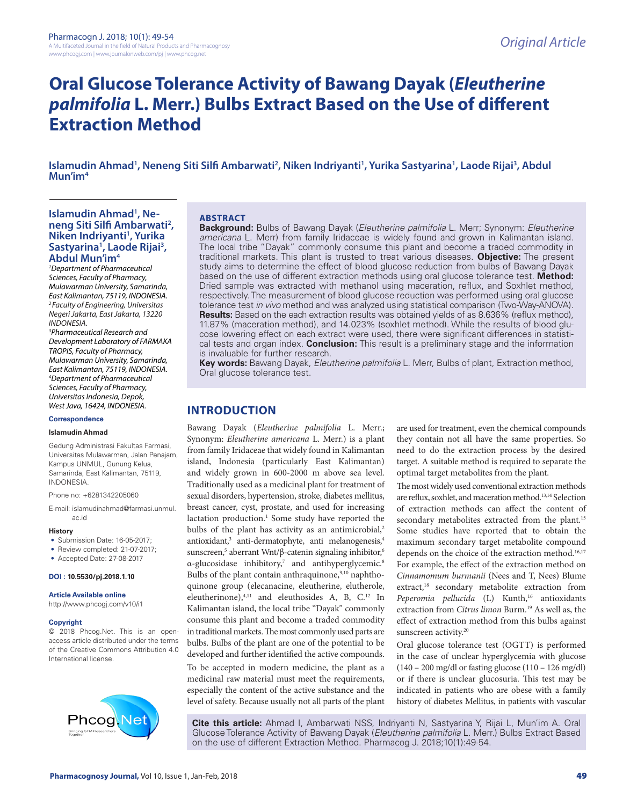# **Oral Glucose Tolerance Activity of Bawang Dayak (***Eleutherine palmifolia* **L. Merr.) Bulbs Extract Based on the Use of different Extraction Method**

Islamudin Ahmad<sup>1</sup>, Neneng Siti Silfi Ambarwati<sup>2</sup>, Niken Indriyanti<sup>1</sup>, Yurika Sastyarina<sup>1</sup>, Laode Rijai<sup>3</sup>, Abdul **Mun'im4**

#### Islamudin Ahmad<sup>1</sup>, Ne**neng Siti Silfi Ambarwati2 , Niken Indriyanti1 , Yurika Sastyarina1 , Laode Rijai3 , Abdul Mun'im4**

*1 Department of Pharmaceutical Sciences, Faculty of Pharmacy, Mulawarman University, Samarinda, East Kalimantan, 75119, INDONESIA. 2 Faculty of Engineering, Universitas Negeri Jakarta, East Jakarta, 13220 INDONESIA.*

*3 Pharmaceutical Research and Development Laboratory of FARMAKA TROPIS, Faculty of Pharmacy, Mulawarman University, Samarinda, East Kalimantan, 75119, INDONESIA. 4 Department of Pharmaceutical Sciences, Faculty of Pharmacy, Universitas Indonesia, Depok, West Java, 16424, INDONESIA.*

# **Correspondence**

#### **Islamudin Ahmad**

Gedung Administrasi Fakultas Farmasi, Universitas Mulawarman, Jalan Penajam, Kampus UNMUL, Gunung Kelua, Samarinda, East Kalimantan, 75119, INDONESIA.

Phone no: +6281342205060

E-mail: islamudinahmad@farmasi.unmul. ac.id

#### **History**

- Submission Date: 16-05-2017;
- Review completed: 21-07-2017;
- Accepted Date: 27-08-2017

#### **DOI : 10.5530/pj.2018.1.10**

**Article Available online** 

http://www.phcogj.com/v10/i1

#### **Copyright**

© 2018 Phcog.Net. This is an openaccess article distributed under the terms of the Creative Commons Attribution 4.0 International license.



#### **ABSTRACT**

**Background:** Bulbs of Bawang Dayak (*Eleutherine palmifolia* L. Merr; Synonym: *Eleutherine americana* L. Merr) from family Iridaceae is widely found and grown in Kalimantan island. The local tribe "Dayak" commonly consume this plant and become a traded commodity in traditional markets. This plant is trusted to treat various diseases. **Objective:** The present study aims to determine the effect of blood glucose reduction from bulbs of Bawang Dayak based on the use of different extraction methods using oral glucose tolerance test. **Method:** Dried sample was extracted with methanol using maceration, reflux, and Soxhlet method, respectively. The measurement of blood glucose reduction was performed using oral glucose tolerance test *in vivo* method and was analyzed using statistical comparison (Two-Way-ANOVA). **Results:** Based on the each extraction results was obtained yields of as 8.636% (reflux method), 11.87% (maceration method), and 14.023% (soxhlet method). While the results of blood glucose lowering effect on each extract were used, there were significant differences in statistical tests and organ index. **Conclusion:** This result is a preliminary stage and the information is invaluable for further research.

**Key words:** Bawang Dayak, *Eleutherine palmifolia* L. Merr, Bulbs of plant, Extraction method, Oral glucose tolerance test.

# **INTRODUCTION**

Bawang Dayak (*Eleutherine palmifolia* L. Merr.; Synonym: *Eleutherine americana* L. Merr.) is a plant from family Iridaceae that widely found in Kalimantan island, Indonesia (particularly East Kalimantan) and widely grown in 600-2000 m above sea level. Traditionally used as a medicinal plant for treatment of sexual disorders, hypertension, stroke, diabetes mellitus, breast cancer, cyst, prostate, and used for increasing lactation production.<sup>1</sup> Some study have reported the bulbs of the plant has activity as an antimicrobial,<sup>2</sup> antioxidant,<sup>3</sup> anti-dermatophyte, anti melanogenesis,<sup>4</sup> sunscreen,<sup>5</sup> aberrant Wnt/β-catenin signaling inhibitor,<sup>6</sup> α-glucosidase inhibitory,<sup>7</sup> and antihyperglycemic.<sup>8</sup> Bulbs of the plant contain anthraquinone,<sup>9,10</sup> naphthoquinone group (elecanacine, eleutherine, elutherole, eleutherinone), <sup>4,11</sup> and eleuthosides A, B, C.<sup>12</sup> In Kalimantan island, the local tribe "Dayak" commonly consume this plant and become a traded commodity in traditional markets. The most commonly used parts are bulbs. Bulbs of the plant are one of the potential to be developed and further identified the active compounds. To be accepted in modern medicine, the plant as a medicinal raw material must meet the requirements, especially the content of the active substance and the level of safety. Because usually not all parts of the plant are used for treatment, even the chemical compounds they contain not all have the same properties. So need to do the extraction process by the desired target. A suitable method is required to separate the optimal target metabolites from the plant.

The most widely used conventional extraction methods are reflux, soxhlet, and maceration method.13,14 Selection of extraction methods can affect the content of secondary metabolites extracted from the plant.<sup>15</sup> Some studies have reported that to obtain the maximum secondary target metabolite compound depends on the choice of the extraction method.<sup>16,17</sup> For example, the effect of the extraction method on *Cinnamomum burmanii* (Nees and T, Nees) Blume extract,<sup>18</sup> secondary metabolite extraction from Peperomia pellucida (L) Kunth,<sup>16</sup> antioxidants extraction from *Citrus limon* Burm.19 As well as, the effect of extraction method from this bulbs against sunscreen activity.<sup>20</sup>

Oral glucose tolerance test (OGTT) is performed in the case of unclear hyperglycemia with glucose  $(140 - 200 \text{ mg/dl})$  or fasting glucose  $(110 - 126 \text{ mg/dl})$ or if there is unclear glucosuria. This test may be indicated in patients who are obese with a family history of diabetes Mellitus, in patients with vascular

**Cite this article:** Ahmad I, Ambarwati NSS, Indriyanti N, Sastyarina Y, Rijai L, Mun'im A. Oral Glucose Tolerance Activity of Bawang Dayak (*Eleutherine palmifolia* L. Merr.) Bulbs Extract Based on the use of different Extraction Method. Pharmacog J. 2018;10(1):49-54.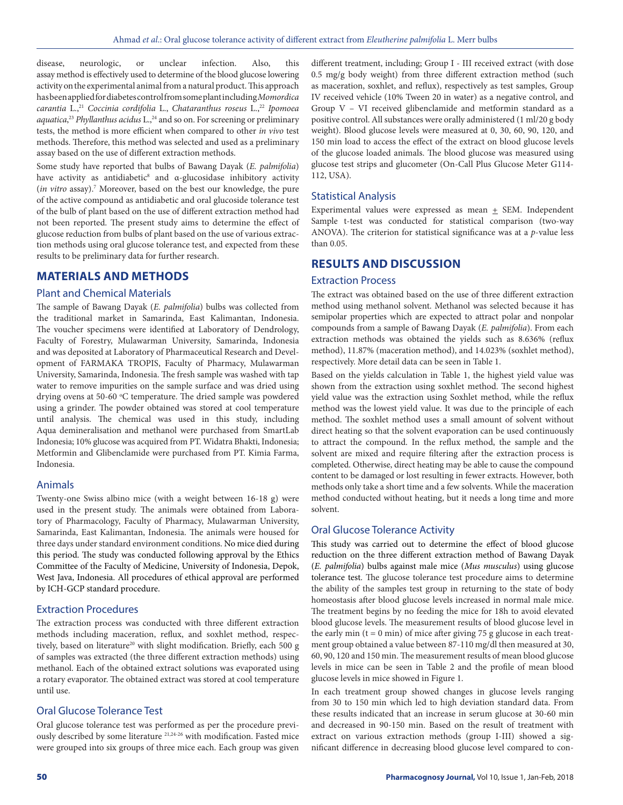disease, neurologic, or unclear infection. Also, this assay method is effectively used to determine of the blood glucose lowering activity on the experimental animal from a natural product. This approach has been applied for diabetes control from some plant including *Momordica carantia* L.,21 *Coccinia cordifolia* L., *Chataranthus roseus* L.,22 *Ipomoea*  aquatica,<sup>23</sup> *Phyllanthus acidus* L.,<sup>24</sup> and so on. For screening or preliminary tests, the method is more efficient when compared to other *in vivo* test methods. Therefore, this method was selected and used as a preliminary assay based on the use of different extraction methods.

Some study have reported that bulbs of Bawang Dayak (*E. palmifolia*) have activity as antidiabetic<sup>8</sup> and  $\alpha$ -glucosidase inhibitory activity (*in vitro* assay).7 Moreover, based on the best our knowledge, the pure of the active compound as antidiabetic and oral glucoside tolerance test of the bulb of plant based on the use of different extraction method had not been reported. The present study aims to determine the effect of glucose reduction from bulbs of plant based on the use of various extraction methods using oral glucose tolerance test, and expected from these results to be preliminary data for further research.

# **MATERIALS AND METHODS**

#### Plant and Chemical Materials

The sample of Bawang Dayak (*E. palmifolia*) bulbs was collected from the traditional market in Samarinda, East Kalimantan, Indonesia. The voucher specimens were identified at Laboratory of Dendrology, Faculty of Forestry, Mulawarman University, Samarinda, Indonesia and was deposited at Laboratory of Pharmaceutical Research and Development of FARMAKA TROPIS, Faculty of Pharmacy, Mulawarman University, Samarinda, Indonesia. The fresh sample was washed with tap water to remove impurities on the sample surface and was dried using drying ovens at 50-60 °C temperature. The dried sample was powdered using a grinder. The powder obtained was stored at cool temperature until analysis. The chemical was used in this study, including Aqua demineralisation and methanol were purchased from SmartLab Indonesia; 10% glucose was acquired from PT. Widatra Bhakti, Indonesia; Metformin and Glibenclamide were purchased from PT. Kimia Farma, Indonesia.

#### Animals

Twenty-one Swiss albino mice (with a weight between 16-18 g) were used in the present study. The animals were obtained from Laboratory of Pharmacology, Faculty of Pharmacy, Mulawarman University, Samarinda, East Kalimantan, Indonesia. The animals were housed for three days under standard environment conditions. No mice died during this period. The study was conducted following approval by the Ethics Committee of the Faculty of Medicine, University of Indonesia, Depok, West Java, Indonesia. All procedures of ethical approval are performed by ICH-GCP standard procedure.

# Extraction Procedures

The extraction process was conducted with three different extraction methods including maceration, reflux, and soxhlet method, respectively, based on literature<sup>20</sup> with slight modification. Briefly, each 500 g of samples was extracted (the three different extraction methods) using methanol. Each of the obtained extract solutions was evaporated using a rotary evaporator. The obtained extract was stored at cool temperature until use.

# Oral Glucose Tolerance Test

Oral glucose tolerance test was performed as per the procedure previously described by some literature 21,24-26 with modification. Fasted mice were grouped into six groups of three mice each. Each group was given different treatment, including; Group I - III received extract (with dose 0.5 mg/g body weight) from three different extraction method (such as maceration, soxhlet, and reflux), respectively as test samples, Group IV received vehicle (10% Tween 20 in water) as a negative control, and Group V – VI received glibenclamide and metformin standard as a positive control. All substances were orally administered (1 ml/20 g body weight). Blood glucose levels were measured at 0, 30, 60, 90, 120, and 150 min load to access the effect of the extract on blood glucose levels of the glucose loaded animals. The blood glucose was measured using glucose test strips and glucometer (On-Call Plus Glucose Meter G114- 112, USA).

# Statistical Analysis

Experimental values were expressed as mean  $\pm$  SEM. Independent Sample t-test was conducted for statistical comparison (two-way ANOVA). The criterion for statistical significance was at a *p*-value less than 0.05.

# **RESULTS AND DISCUSSION**

#### Extraction Process

The extract was obtained based on the use of three different extraction method using methanol solvent. Methanol was selected because it has semipolar properties which are expected to attract polar and nonpolar compounds from a sample of Bawang Dayak (*E. palmifolia*). From each extraction methods was obtained the yields such as 8.636% (reflux method), 11.87% (maceration method), and 14.023% (soxhlet method), respectively. More detail data can be seen in Table 1.

Based on the yields calculation in Table 1, the highest yield value was shown from the extraction using soxhlet method. The second highest yield value was the extraction using Soxhlet method, while the reflux method was the lowest yield value. It was due to the principle of each method. The soxhlet method uses a small amount of solvent without direct heating so that the solvent evaporation can be used continuously to attract the compound. In the reflux method, the sample and the solvent are mixed and require filtering after the extraction process is completed. Otherwise, direct heating may be able to cause the compound content to be damaged or lost resulting in fewer extracts. However, both methods only take a short time and a few solvents. While the maceration method conducted without heating, but it needs a long time and more solvent.

#### Oral Glucose Tolerance Activity

This study was carried out to determine the effect of blood glucose reduction on the three different extraction method of Bawang Dayak (*E. palmifolia*) bulbs against male mice (*Mus musculus*) using glucose tolerance test. The glucose tolerance test procedure aims to determine the ability of the samples test group in returning to the state of body homeostasis after blood glucose levels increased in normal male mice. The treatment begins by no feeding the mice for 18h to avoid elevated blood glucose levels. The measurement results of blood glucose level in the early min ( $t = 0$  min) of mice after giving 75 g glucose in each treatment group obtained a value between 87-110 mg/dl then measured at 30, 60, 90, 120 and 150 min. The measurement results of mean blood glucose levels in mice can be seen in Table 2 and the profile of mean blood glucose levels in mice showed in Figure 1.

In each treatment group showed changes in glucose levels ranging from 30 to 150 min which led to high deviation standard data. From these results indicated that an increase in serum glucose at 30-60 min and decreased in 90-150 min. Based on the result of treatment with extract on various extraction methods (group I-III) showed a significant difference in decreasing blood glucose level compared to con-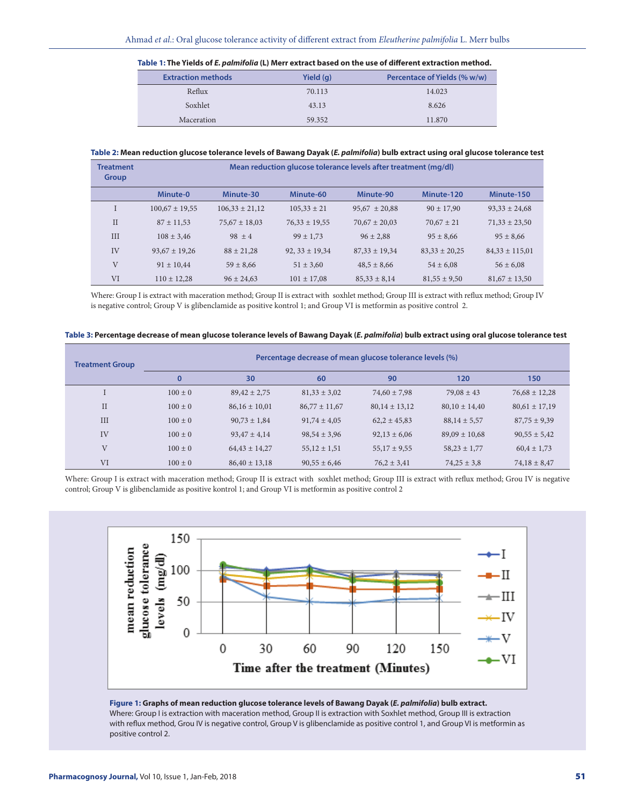| Table 1: The Tields of <i>E. pullitiona</i> (L) Merr extract based on the use of unlerent extraction method. |           |                              |  |  |  |  |  |
|--------------------------------------------------------------------------------------------------------------|-----------|------------------------------|--|--|--|--|--|
| <b>Extraction methods</b>                                                                                    | Yield (g) | Percentace of Yields (% w/w) |  |  |  |  |  |
| Reflux                                                                                                       | 70.113    | 14.023                       |  |  |  |  |  |
| Soxhlet                                                                                                      | 43.13     | 8.626                        |  |  |  |  |  |
| Maceration                                                                                                   | 59.352    | 11.870                       |  |  |  |  |  |

**Table 1: The Yields of** *E. palmifolia* **(L) Merr extract based on the use of different extraction method.**

#### **Table 2: Mean reduction glucose tolerance levels of Bawang Dayak (***E. palmifolia***) bulb extract using oral glucose tolerance test**

| <b>Treatment</b><br><b>Group</b> | Mean reduction glucose tolerance levels after treatment (mg/dl) |                    |                    |                   |                   |                    |  |  |
|----------------------------------|-----------------------------------------------------------------|--------------------|--------------------|-------------------|-------------------|--------------------|--|--|
|                                  | Minute-0                                                        | Minute-30          | Minute-60          | Minute-90         | Minute-120        | Minute-150         |  |  |
|                                  | $100,67 \pm 19,55$                                              | $106,33 \pm 21,12$ | $105.33 \pm 21$    | $95,67 \pm 20,88$ | $90 \pm 17.90$    | $93,33 \pm 24,68$  |  |  |
| $\mathbf{H}$                     | $87 \pm 11.53$                                                  | $75.67 \pm 18.03$  | $76.33 \pm 19.55$  | $70.67 \pm 20.03$ | $70.67 \pm 21$    | $71.33 \pm 23.50$  |  |  |
| <b>III</b>                       | $108 \pm 3.46$                                                  | $98 + 4$           | $99 \pm 1.73$      | $96 \pm 2.88$     | $95 \pm 8,66$     | $95 \pm 8,66$      |  |  |
| IV                               | $93.67 \pm 19.26$                                               | $88 \pm 21.28$     | $92, 33 \pm 19,34$ | $87.33 \pm 19.34$ | $83.33 \pm 20.25$ | $84,33 \pm 115,01$ |  |  |
| V                                | $91 \pm 10.44$                                                  | $59 \pm 8,66$      | $51 \pm 3.60$      | $48.5 \pm 8.66$   | $54 \pm 6.08$     | $56 \pm 6.08$      |  |  |
| VI                               | $110 \pm 12.28$                                                 | $96 \pm 24.63$     | $101 \pm 17.08$    | $85,33 \pm 8,14$  | $81.55 \pm 9.50$  | $81,67 \pm 13,50$  |  |  |

Where: Group I is extract with maceration method; Group II is extract with soxhlet method; Group III is extract with reflux method; Group IV is negative control; Group V is glibenclamide as positive kontrol 1; and Group VI is metformin as positive control 2.

| Table 3: Percentage decrease of mean glucose tolerance levels of Bawang Dayak (E. palmifolia) bulb extract using oral glucose tolerance test |
|----------------------------------------------------------------------------------------------------------------------------------------------|
|----------------------------------------------------------------------------------------------------------------------------------------------|

| <b>Treatment Group</b> | Percentage decrease of mean glucose tolerance levels (%) |                   |                   |                   |                   |                   |
|------------------------|----------------------------------------------------------|-------------------|-------------------|-------------------|-------------------|-------------------|
|                        | $\bf{0}$                                                 | 30                | 60                | 90                | 120               | 150               |
|                        | $100 \pm 0$                                              | $89,42 \pm 2,75$  | $81,33 \pm 3,02$  | $74,60 \pm 7,98$  | $79.08 \pm 43$    | $76,68 \pm 12,28$ |
| $\rm II$               | $100 \pm 0$                                              | $86,16 \pm 10,01$ | $86,77 \pm 11,67$ | $80,14 \pm 13,12$ | $80,10 \pm 14,40$ | $80,61 \pm 17,19$ |
| III                    | $100 \pm 0$                                              | $90,73 \pm 1,84$  | $91,74 \pm 4,05$  | $62,2 \pm 45,83$  | $88,14 \pm 5,57$  | $87,75 \pm 9,39$  |
| IV                     | $100 \pm 0$                                              | $93.47 \pm 4.14$  | $98,54 \pm 3,96$  | $92,13 \pm 6,06$  | $89,09 \pm 10,68$ | $90,55 \pm 5,42$  |
| V                      | $100 \pm 0$                                              | $64,43 \pm 14,27$ | $55,12 \pm 1,51$  | $55,17 \pm 9,55$  | $58,23 \pm 1,77$  | $60.4 \pm 1.73$   |
| VI                     | $100 \pm 0$                                              | $86.40 \pm 13.18$ | $90,55 \pm 6,46$  | $76,2 \pm 3,41$   | $74.25 \pm 3.8$   | $74,18 \pm 8,47$  |

Where: Group I is extract with maceration method; Group II is extract with soxhlet method; Group III is extract with reflux method; Grou IV is negative control; Group V is glibenclamide as positive kontrol 1; and Group VI is metformin as positive control 2



**Figure 1: Graphs of mean reduction glucose tolerance levels of Bawang Dayak (***E. palmifolia***) bulb extract.** Where: Group I is extraction with maceration method, Group II is extraction with Soxhlet method, Group III is extraction with reflux method, Grou IV is negative control, Group V is glibenclamide as positive control 1, and Group VI is metformin as positive control 2.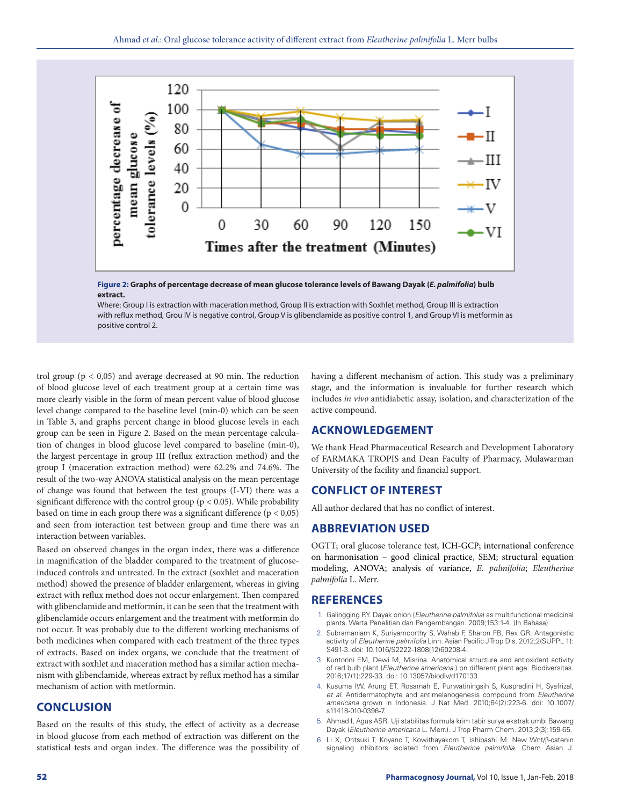

**Figure 2: Graphs of percentage decrease of mean glucose tolerance levels of Bawang Dayak (***E. palmifolia***) bulb extract.**

Where: Group I is extraction with maceration method, Group II is extraction with Soxhlet method, Group III is extraction with reflux method, Grou IV is negative control, Group V is glibenclamide as positive control 1, and Group VI is metformin as positive control 2.

trol group ( $p < 0.05$ ) and average decreased at 90 min. The reduction of blood glucose level of each treatment group at a certain time was more clearly visible in the form of mean percent value of blood glucose level change compared to the baseline level (min-0) which can be seen in Table 3, and graphs percent change in blood glucose levels in each group can be seen in Figure 2. Based on the mean percentage calculation of changes in blood glucose level compared to baseline (min-0), the largest percentage in group III (reflux extraction method) and the group I (maceration extraction method) were 62.2% and 74.6%. The result of the two-way ANOVA statistical analysis on the mean percentage of change was found that between the test groups (I-VI) there was a significant difference with the control group ( $p < 0.05$ ). While probability based on time in each group there was a significant difference  $(p < 0.05)$ and seen from interaction test between group and time there was an interaction between variables.

Based on observed changes in the organ index, there was a difference in magnification of the bladder compared to the treatment of glucoseinduced controls and untreated. In the extract (soxhlet and maceration method) showed the presence of bladder enlargement, whereas in giving extract with reflux method does not occur enlargement. Then compared with glibenclamide and metformin, it can be seen that the treatment with glibenclamide occurs enlargement and the treatment with metformin do not occur. It was probably due to the different working mechanisms of both medicines when compared with each treatment of the three types of extracts. Based on index organs, we conclude that the treatment of extract with soxhlet and maceration method has a similar action mechanism with glibenclamide, whereas extract by reflux method has a similar mechanism of action with metformin.

## **CONCLUSION**

Based on the results of this study, the effect of activity as a decrease in blood glucose from each method of extraction was different on the statistical tests and organ index. The difference was the possibility of having a different mechanism of action. This study was a preliminary stage, and the information is invaluable for further research which includes *in vivo* antidiabetic assay, isolation, and characterization of the active compound.

# **ACKNOWLEDGEMENT**

We thank Head Pharmaceutical Research and Development Laboratory of FARMAKA TROPIS and Dean Faculty of Pharmacy, Mulawarman University of the facility and financial support.

# **CONFLICT OF INTEREST**

All author declared that has no conflict of interest.

#### **ABBREVIATION USED**

OGTT; oral glucose tolerance test, ICH-GCP; international conference on harmonisation – good clinical practice, SEM; structural equation modeling, ANOVA; analysis of variance, *E. palmifolia*; *Eleutherine palmifolia* L. Merr.

#### **REFERENCES**

- 1. Galingging RY. Dayak onion (*Eleutherine palmifolia*) as multifunctional medicinal plants. Warta Penelitian dan Pengembangan. 2009;153:1-4. (In Bahasa)
- 2. Subramaniam K, Suriyamoorthy S, Wahab F, Sharon FB, Rex GR. Antagonistic activity of *Eleutherine palmifolia* Linn. Asian Pacific J Trop Dis. 2012;2(SUPPL 1): S491-3. doi: 10.1016/S2222-1808(12)60208-4.
- 3. Kuntorini EM, Dewi M, Misrina. Anatomical structure and antioxidant activity of red bulb plant (*Eleutherine americana* ) on different plant age. Biodiversitas. 2016;17(1):229-33. doi: 10.13057/biodiv/d170133.
- 4. Kusuma IW, Arung ET, Rosamah E, Purwatiningsih S, Kuspradini H, Syafrizal, *et al*. Antidermatophyte and antimelanogenesis compound from *Eleutherine americana* grown in Indonesia. J Nat Med. 2010;64(2):223-6. doi: 10.1007/ s11418-010-0396-7.
- 5. Ahmad I, Agus ASR. Uji stabilitas formula krim tabir surya ekstrak umbi Bawang Dayak (*Eleutherine americana* L. Merr.). J Trop Pharm Chem. 2013;2(3):159-65.
- 6. Li X, Ohtsuki T, Koyano T, Kowithayakorn T, Ishibashi M. New Wnt/β-catenin signaling inhibitors isolated from *Eleutherine palmifolia*. Chem Asian J.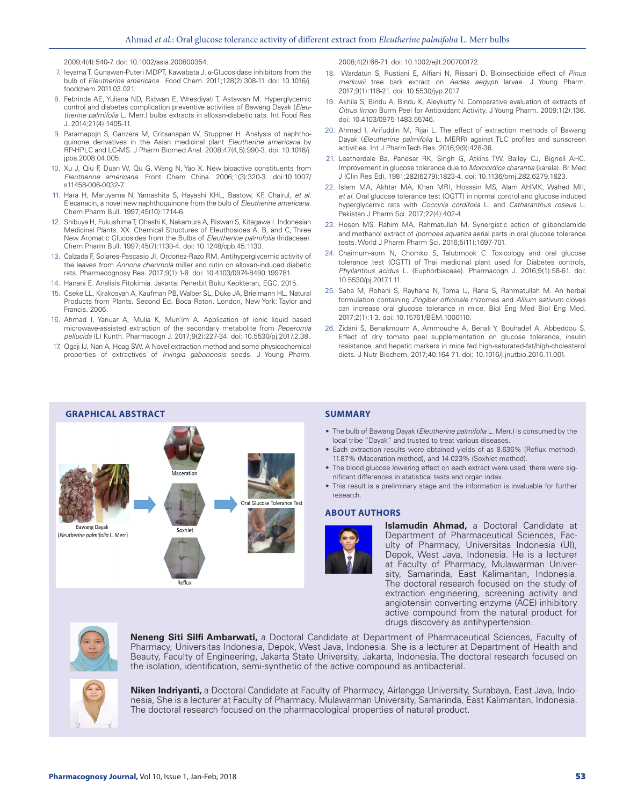2009;4(4):540-7. doi: 10.1002/asia.200800354.

- 7. Ieyama T, Gunawan-Puteri MDPT, Kawabata J. α-Glucosidase inhibitors from the bulb of *Eleutherine americana* . Food Chem. 2011;128(2):308-11. doi: 10.1016/j. foodchem.2011.03.021.
- 8. Febrinda AE, Yuliana ND, Ridwan E, Wresdiyati T, Astawan M. Hyperglycemic control and diabetes complication preventive activities of Bawang Dayak (*Eleutherine palmifolia* L. Merr.) bulbs extracts in alloxan-diabetic rats. Int Food Res J. 2014;21(4):1405-11.
- 9. Paramapojn S, Ganzera M, Gritsanapan W, Stuppner H. Analysis of naphthoquinone derivatives in the Asian medicinal plant *Eleutherine americana* by RP-HPLC and LC-MS. J Pharm Biomed Anal. 2008;47(4,5):990-3. doi: 10.1016/j. jpba.2008.04.005.
- 10. Xu J, Qiu F, Duan W, Qu G, Wang N, Yao X. New bioactive constituents from *Eleutherine americana*. Front Chem China. 2006;1(3):320-3. doi:10.1007/ s11458-006-0032-7.
- 11. Hara H, Maruyama N, Yamashita S, Hayashi KHL, Bastow, KF, Chairul, *et al*. Elecanacin, a novel new naphthoquinone from the bulb of *Eleutherine americana*. Chem Pharm Bull. 1997;45(10):1714-6.
- 12. Shibuya H, Fukushima T, Ohashi K, Nakamura A, Riswan S, Kitagawa I. Indonesian Medicinal Plants. XX. Chemical Structures of Eleuthosides A, B, and C, Three New Aromatic Glucosides from the Bulbs of *Eleutherine palmifolia* (Iridaceae). Chem Pharm Bull. 1997;45(7):1130-4. doi: 10.1248/cpb.45.1130.
- 13. Calzada F, Solares-Pascasio JI, Ordoñez-Razo RM. Antihyperglycemic activity of the leaves from *Annona cherimola* miller and rutin on alloxan-induced diabetic rats. Pharmacognosy Res. 2017;9(1):1-6. doi: 10.4103/0974-8490.199781.
- 14. Hanani E. Analisis Fitokimia. Jakarta: Penerbit Buku Keokteran, EGC. 2015.
- 15. Cseke LL, Kirakosyan A, Kaufman PB, Walber SL, Duke JA, Brielmann HL. Natural Products from Plants. Second Ed. Boca Raton, London, New York: Taylor and Francis. 2006.
- 16. Ahmad I, Yanuar A, Mulia K, Mun'im A. Application of ionic liquid based microwave-assisted extraction of the secondary metabolite from *Peperomia pellucida* (L) Kunth. Pharmacogn J. 2017;9(2):227-34. doi: 10.5530/pj.2017.2.38.
- 17. Ogaji IJ, Nan A, Hoag SW. A Novel extraction method and some physicochemical properties of extractives of *Irvingia gabonensis* seeds. J Young Pharm.

2008;4(2):66-71. doi: 10.1002/ejlt.200700172.

- 18. Wardatun S, Rustiani E, Alfiani N, Rissani D. Bioinsecticide effect of *Pinus merkusii* tree bark extract on *Aedes aegypti* larvae. J Young Pharm. 2017;9(1):118-21. doi: 10.5530/jyp.2017.
- 19. Akhila S, Bindu A, Bindu K, Aleykutty N. Comparative evaluation of extracts of *Citrus limon* Burm Peel for Antioxidant Activity. J Young Pharm. 2009;1(2):136. doi: 10.4103/0975-1483.55746.
- 20. Ahmad I, Arifuddin M, Rijai L. The effect of extraction methods of Bawang Dayak (*Eleutherine palmifolia* L. MERR) against TLC profiles and sunscreen activities. Int J PharmTech Res. 2016;9(9):428-36.
- 21. Leatherdale Ba, Panesar RK, Singh G, Atkins TW, Bailey CJ, Bignell AHC. Improvement in glucose tolerance due to *Momordica charantia* (karela). Br Med J (Clin Res Ed). 1981;282(6279):1823-4. doi: 10.1136/bmj.282.6279.1823.
- 22. Islam MA, Akhtar MA, Khan MRI, Hossain MS, Alam AHMK, Wahed MII, *et al*. Oral glucose tolerance test (OGTT) in normal control and glucose induced hyperglycemic rats with *Coccinia cordifolia* L. and *Catharanthus roseus* L. Pakistan J Pharm Sci. 2017;22(4):402-4.
- 23. Hosen MS, Rahim MA, Rahmatullah M. Synergistic action of glibenclamide and methanol extract of *Ipomoea aquatica* aerial parts in oral glucose tolerance tests. World J Pharm Pharm Sci. 2016;5(11):1697-701.
- 24. Chaimum-aom N, Chomko S, Talubmook C. Toxicology and oral glucose tolerance test (OGTT) of Thai medicinal plant used for Diabetes controls, *Phyllanthus acidus* L. (Euphorbiaceae). Pharmacogn J. 2016;9(1):58-61. doi: 10.5530/pj.2017.1.11.
- 25. Saha M, Rohani S, Rayhana N, Toma IJ, Rana S, Rahmatullah M. An herbal formulation containing *Zingiber officinale* rhizomes and *Allium sativum* cloves can increase oral glucose tolerance in mice. Biol Eng Med Biol Eng Med. 2017;2(1):1-3. doi: 10.15761/BEM.1000110.
- 26. Zidani S, Benakmoum A, Ammouche A, Benali Y, Bouhadef A, Abbeddou S. Effect of dry tomato peel supplementation on glucose tolerance, insulin resistance, and hepatic markers in mice fed high-saturated-fat/high-cholesterol diets. J Nutr Biochem. 2017;40:164-71. doi: 10.1016/j.jnutbio.2016.11.001.



- The bulb of Bawang Dayak (*Eleutherine palmifolia* L. Merr.) is consumed by the local tribe "Dayak" and trusted to treat various diseases.
- Each extraction results were obtained yields of as 8.636% (Reflux method), 11.87% (Maceration method), and 14.023% (Soxhlet method).
- The blood glucose lowering effect on each extract were used, there were significant differences in statistical tests and organ index.
- This result is a preliminary stage and the information is invaluable for further research.

#### **ABOUT AUTHORS**



**Islamudin Ahmad,** a Doctoral Candidate at Department of Pharmaceutical Sciences, Faculty of Pharmacy, Universitas Indonesia (UI), Depok, West Java, Indonesia. He is a lecturer at Faculty of Pharmacy, Mulawarman University, Samarinda, East Kalimantan, Indonesia. The doctoral research focused on the study of extraction engineering, screening activity and angiotensin converting enzyme (ACE) inhibitory active compound from the natural product for drugs discovery as antihypertension.



**Neneng Siti Silfi Ambarwati,** a Doctoral Candidate at Department of Pharmaceutical Sciences, Faculty of Pharmacy, Universitas Indonesia, Depok, West Java, Indonesia. She is a lecturer at Department of Health and Beauty, Faculty of Engineering, Jakarta State University, Jakarta, Indonesia. The doctoral research focused on the isolation, identification, semi-synthetic of the active compound as antibacterial.



**Niken Indriyanti,** a Doctoral Candidate at Faculty of Pharmacy, Airlangga University, Surabaya, East Java, Indonesia, She is a lecturer at Faculty of Pharmacy, Mulawarman University, Samarinda, East Kalimantan, Indonesia. The doctoral research focused on the pharmacological properties of natural product.